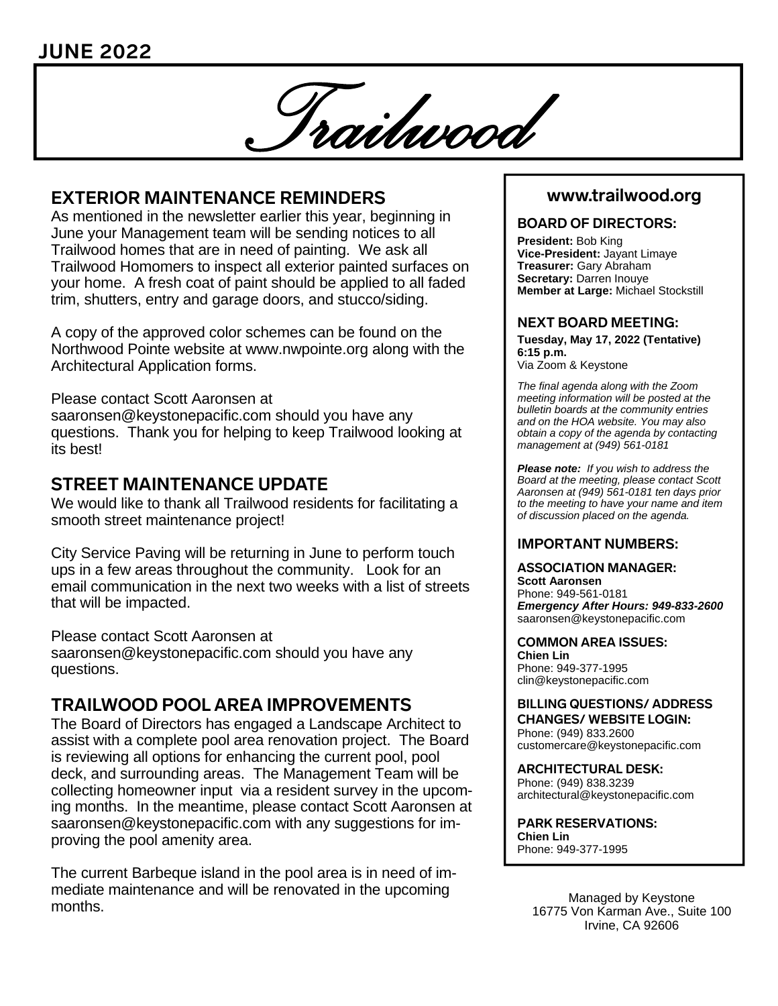*Trailwood* 

# **EXTERIOR MAINTENANCE REMINDERS**

As mentioned in the newsletter earlier this year, beginning in June your Management team will be sending notices to all Trailwood homes that are in need of painting. We ask all Trailwood Homomers to inspect all exterior painted surfaces on your home. A fresh coat of paint should be applied to all faded trim, shutters, entry and garage doors, and stucco/siding.

A copy of the approved color schemes can be found on the Northwood Pointe website at www.nwpointe.org along with the Architectural Application forms.

Please contact Scott Aaronsen at

saaronsen@keystonepacific.com should you have any questions. Thank you for helping to keep Trailwood looking at its best!

# **STREET MAINTENANCE UPDATE**

We would like to thank all Trailwood residents for facilitating a smooth street maintenance project!

City Service Paving will be returning in June to perform touch ups in a few areas throughout the community. Look for an email communication in the next two weeks with a list of streets that will be impacted.

Please contact Scott Aaronsen at saaronsen@keystonepacific.com should you have any questions.

# **TRAILWOOD POOL AREA IMPROVEMENTS**

The Board of Directors has engaged a Landscape Architect to assist with a complete pool area renovation project. The Board is reviewing all options for enhancing the current pool, pool deck, and surrounding areas. The Management Team will be collecting homeowner input via a resident survey in the upcoming months. In the meantime, please contact Scott Aaronsen at saaronsen@keystonepacific.com with any suggestions for improving the pool amenity area.

The current Barbeque island in the pool area is in need of immediate maintenance and will be renovated in the upcoming months.

# **www.trailwood.org**

### **BOARD OF DIRECTORS:**

**President:** Bob King **Vice-President:** Jayant Limaye **Treasurer:** Gary Abraham **Secretary:** Darren Inouye **Member at Large:** Michael Stockstill

### **NEXT BOARD MEETING:**

**Tuesday, May 17, 2022 (Tentative) 6:15 p.m.**  Via Zoom & Keystone

*The final agenda along with the Zoom meeting information will be posted at the bulletin boards at the community entries and on the HOA website. You may also obtain a copy of the agenda by contacting management at (949) 561-0181* 

*Please note: If you wish to address the Board at the meeting, please contact Scott Aaronsen at (949) 561-0181 ten days prior to the meeting to have your name and item of discussion placed on the agenda.* 

### **IMPORTANT NUMBERS:**

**ASSOCIATION MANAGER: Scott Aaronsen** Phone: 949-561-0181 *Emergency After Hours: 949-833-2600* saaronsen@keystonepacific.com

**COMMON AREA ISSUES:** 

**Chien Lin**  Phone: 949-377-1995 clin@keystonepacific.com

**BILLING QUESTIONS/ ADDRESS CHANGES/ WEBSITE LOGIN:** Phone: (949) 833.2600 customercare@keystonepacific.com

**ARCHITECTURAL DESK:** Phone: (949) 838.3239 architectural@keystonepacific.com

**PARK RESERVATIONS: Chien Lin**  Phone: 949-377-1995

> Managed by Keystone 16775 Von Karman Ave., Suite 100 Irvine, CA 92606